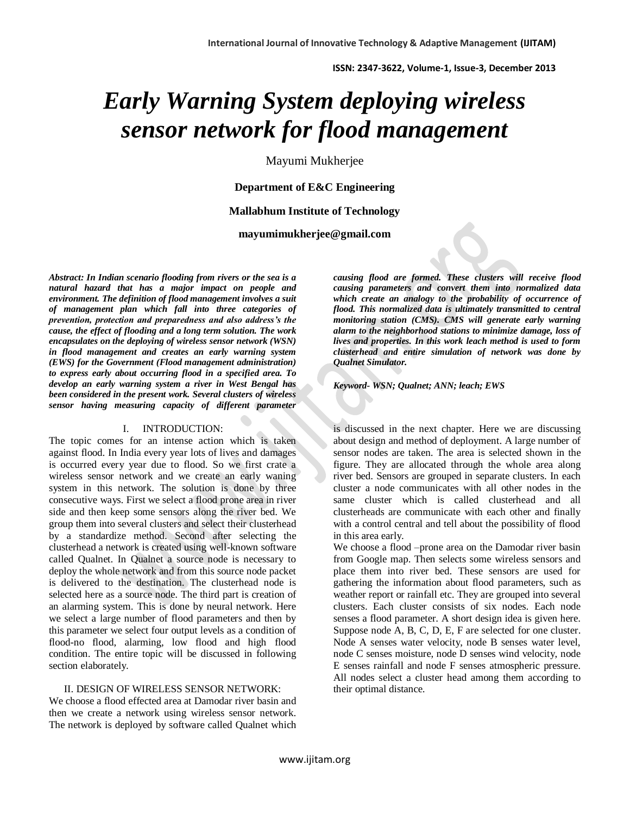# *Early Warning System deploying wireless sensor network for flood management*

Mayumi Mukherjee

### **Department of E&C Engineering**

#### **Mallabhum Institute of Technology**

**mayumimukherjee@gmail.com**

*Abstract: In Indian scenario flooding from rivers or the sea is a natural hazard that has a major impact on people and environment. The definition of flood management involves a suit of management plan which fall into three categories of prevention, protection and preparedness and also address's the cause, the effect of flooding and a long term solution. The work encapsulates on the deploying of wireless sensor network (WSN) in flood management and creates an early warning system (EWS) for the Government (Flood management administration) to express early about occurring flood in a specified area. To develop an early warning system a river in West Bengal has been considered in the present work. Several clusters of wireless sensor having measuring capacity of different parameter* 

#### I. INTRODUCTION:

The topic comes for an intense action which is taken against flood. In India every year lots of lives and damages is occurred every year due to flood. So we first crate a wireless sensor network and we create an early waning system in this network. The solution is done by three consecutive ways. First we select a flood prone area in river side and then keep some sensors along the river bed. We group them into several clusters and select their clusterhead by a standardize method. Second after selecting the clusterhead a network is created using well-known software called Qualnet. In Qualnet a source node is necessary to deploy the whole network and from this source node packet is delivered to the destination. The clusterhead node is selected here as a source node. The third part is creation of an alarming system. This is done by neural network. Here we select a large number of flood parameters and then by this parameter we select four output levels as a condition of flood-no flood, alarming, low flood and high flood condition. The entire topic will be discussed in following section elaborately.

#### II. DESIGN OF WIRELESS SENSOR NETWORK:

We choose a flood effected area at Damodar river basin and then we create a network using wireless sensor network. The network is deployed by software called Qualnet which

*causing flood are formed. These clusters will receive flood causing parameters and convert them into normalized data which create an analogy to the probability of occurrence of flood. This normalized data is ultimately transmitted to central monitoring station (CMS). CMS will generate early warning alarm to the neighborhood stations to minimize damage, loss of lives and properties. In this work leach method is used to form clusterhead and entire simulation of network was done by Qualnet Simulator.* 

#### *Keyword- WSN; Qualnet; ANN; leach; EWS*

is discussed in the next chapter. Here we are discussing about design and method of deployment. A large number of sensor nodes are taken. The area is selected shown in the figure. They are allocated through the whole area along river bed. Sensors are grouped in separate clusters. In each cluster a node communicates with all other nodes in the same cluster which is called clusterhead and all clusterheads are communicate with each other and finally with a control central and tell about the possibility of flood in this area early.

We choose a flood –prone area on the Damodar river basin from Google map. Then selects some wireless sensors and place them into river bed. These sensors are used for gathering the information about flood parameters, such as weather report or rainfall etc. They are grouped into several clusters. Each cluster consists of six nodes. Each node senses a flood parameter. A short design idea is given here. Suppose node A, B, C, D, E, F are selected for one cluster. Node A senses water velocity, node B senses water level, node C senses moisture, node D senses wind velocity, node E senses rainfall and node F senses atmospheric pressure. All nodes select a cluster head among them according to their optimal distance.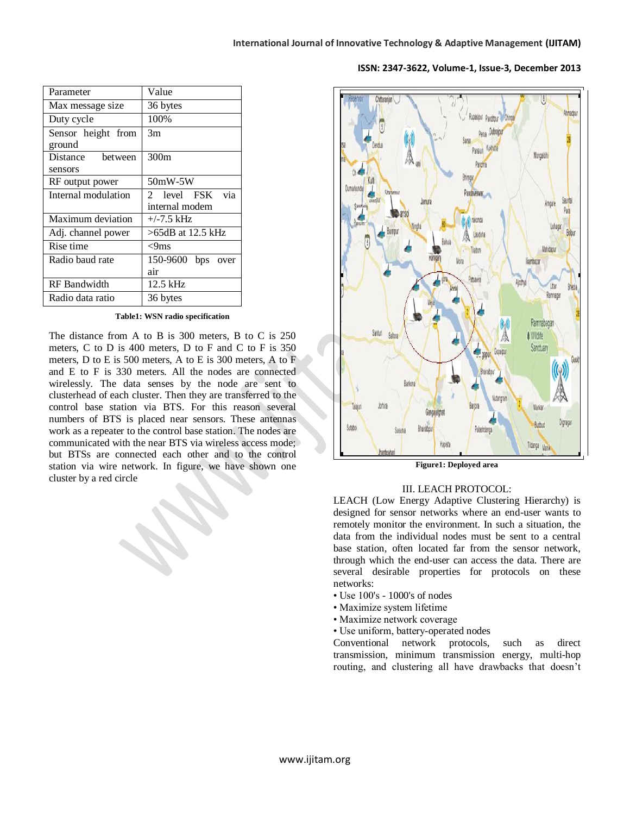| Parameter           | Value                   |
|---------------------|-------------------------|
| Max message size    | 36 bytes                |
| Duty cycle          | 100%                    |
| Sensor height from  | 3m                      |
|                     |                         |
| Distance<br>between | 300 <sub>m</sub>        |
| sensors             |                         |
| RF output power     | 50mW-5W                 |
| Internal modulation | via<br>2 level FSK      |
|                     | internal modem          |
| Maximum deviation   | $+/-7.5$ kHz            |
| Adj. channel power  | >65dB at 12.5 kHz       |
| Rise time           | $\leq$ 9ms              |
| Radio baud rate     | 150-9600<br>bps<br>over |
|                     | air                     |
| <b>RF</b> Bandwidth | 12.5 kHz                |
| Radio data ratio    | 36 bytes                |
| ground              |                         |

#### Chitaranian Mongaldi Pandaveswa Saunta Dan al rakonda Lohana Laudoha ⋒ Mahidapu **Mora** iliambazar Patsawra Utter Ramnagar Ramnabagan Santuri Saltora **A** Widife Sanctuan **Contract Service** Bhairabe Barkona Mankar Talain Gangajal Ruthu Sutabo Bharabour Palashdang Kapist Tildanga Maniki

**Figure1: Deployed area**

#### III. LEACH PROTOCOL:

LEACH (Low Energy Adaptive Clustering Hierarchy) is designed for sensor networks where an end-user wants to remotely monitor the environment. In such a situation, the data from the individual nodes must be sent to a central base station, often located far from the sensor network, through which the end-user can access the data. There are several desirable properties for protocols on these networks:

- Use 100's 1000's of nodes
- Maximize system lifetime
- Maximize network coverage
- Use uniform, battery-operated nodes

Conventional network protocols, such as direct transmission, minimum transmission energy, multi-hop routing, and clustering all have drawbacks that doesn't

The distance from A to B is 300 meters, B to C is 250 meters, C to D is 400 meters, D to F and C to F is 350 meters, D to E is 500 meters, A to E is 300 meters, A to F and E to F is 330 meters. All the nodes are connected wirelessly. The data senses by the node are sent to clusterhead of each cluster. Then they are transferred to the control base station via BTS. For this reason several numbers of BTS is placed near sensors. These antennas work as a repeater to the control base station. The nodes are communicated with the near BTS via wireless access mode; but BTSs are connected each other and to the control station via wire network. In figure, we have shown one cluster by a red circle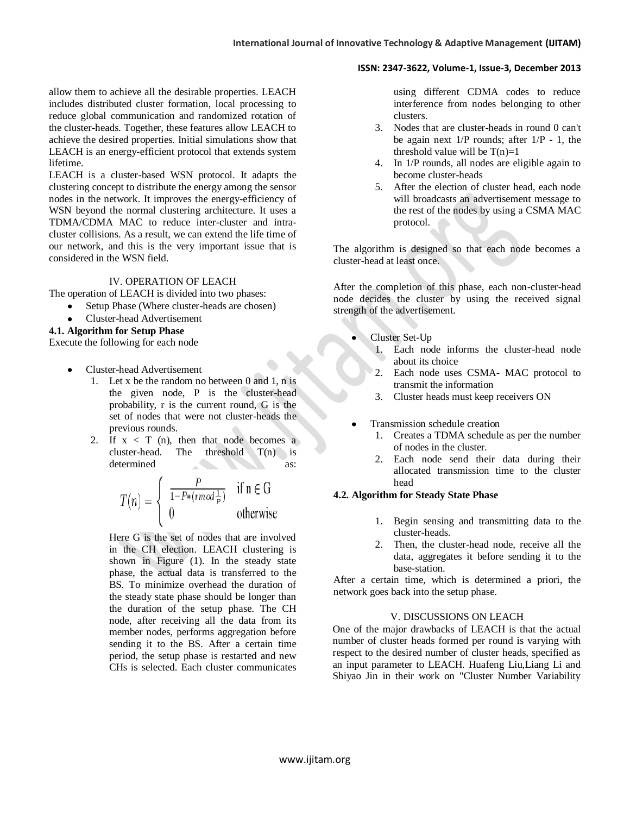allow them to achieve all the desirable properties. LEACH includes distributed cluster formation, local processing to reduce global communication and randomized rotation of the cluster-heads. Together, these features allow LEACH to achieve the desired properties. Initial simulations show that LEACH is an energy-efficient protocol that extends system lifetime.

LEACH is a cluster-based WSN protocol. It adapts the clustering concept to distribute the energy among the sensor nodes in the network. It improves the energy-efficiency of WSN beyond the normal clustering architecture. It uses a TDMA/CDMA MAC to reduce inter-cluster and intracluster collisions. As a result, we can extend the life time of our network, and this is the very important issue that is considered in the WSN field.

#### IV. OPERATION OF LEACH

The operation of LEACH is divided into two phases:

- Setup Phase (Where cluster-heads are chosen)
- Cluster-head Advertisement

#### **4.1. Algorithm for Setup Phase**

Execute the following for each node

- Cluster-head Advertisement
	- 1. Let x be the random no between 0 and 1, n is the given node, P is the cluster-head probability, r is the current round, G is the set of nodes that were not cluster-heads the previous rounds.
	- 2. If  $x < T$  (n), then that node becomes a cluster-head. The threshold  $T(n)$  is determined as:

$$
T(n) = \begin{cases} \frac{P}{1 - P*(rmod\frac{1}{P})} & \text{if } n \in G\\ 0 & \text{otherwise} \end{cases}
$$

Here G is the set of nodes that are involved in the CH election. LEACH clustering is shown in Figure (1). In the steady state phase, the actual data is transferred to the BS. To minimize overhead the duration of the steady state phase should be longer than the duration of the setup phase. The CH node, after receiving all the data from its member nodes, performs aggregation before sending it to the BS. After a certain time period, the setup phase is restarted and new CHs is selected. Each cluster communicates

using different CDMA codes to reduce interference from nodes belonging to other clusters.

- 3. Nodes that are cluster-heads in round 0 can't be again next  $1/P$  rounds; after  $1/P - 1$ , the threshold value will be  $T(n)=1$
- 4. In 1/P rounds, all nodes are eligible again to become cluster-heads
- 5. After the election of cluster head, each node will broadcasts an advertisement message to the rest of the nodes by using a CSMA MAC protocol.

The algorithm is designed so that each node becomes a cluster-head at least once.

After the completion of this phase, each non-cluster-head node decides the cluster by using the received signal strength of the advertisement.

- Cluster Set-Up
	- 1. Each node informs the cluster-head node about its choice
	- 2. Each node uses CSMA- MAC protocol to transmit the information
	- 3. Cluster heads must keep receivers ON
- Transmission schedule creation
	- 1. Creates a TDMA schedule as per the number of nodes in the cluster.
	- 2. Each node send their data during their allocated transmission time to the cluster head

#### **4.2. Algorithm for Steady State Phase**

- 1. Begin sensing and transmitting data to the cluster-heads.
- 2. Then, the cluster-head node, receive all the data, aggregates it before sending it to the base-station.

After a certain time, which is determined a priori, the network goes back into the setup phase.

#### V. DISCUSSIONS ON LEACH

One of the major drawbacks of LEACH is that the actual number of cluster heads formed per round is varying with respect to the desired number of cluster heads, specified as an input parameter to LEACH. Huafeng Liu,Liang Li and Shiyao Jin in their work on "Cluster Number Variability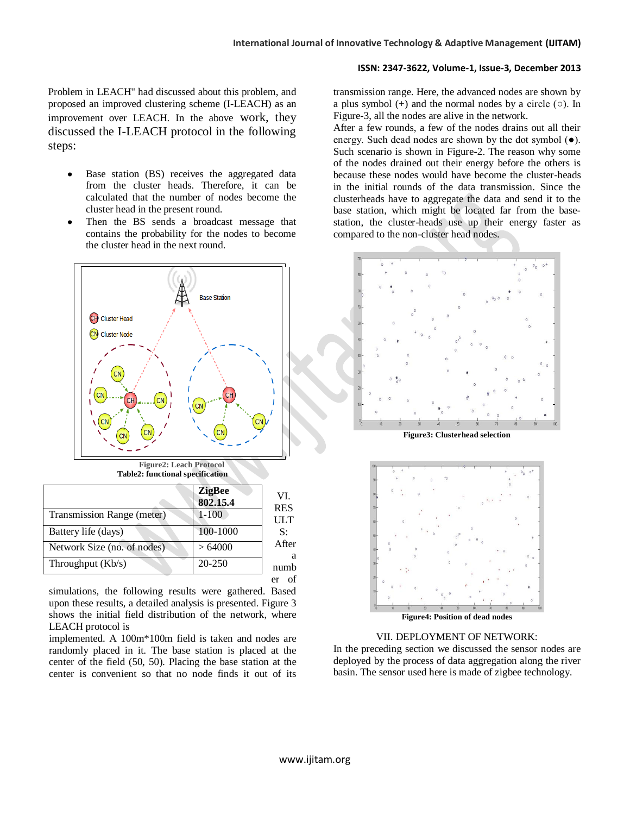Problem in LEACH" had discussed about this problem, and proposed an improved clustering scheme (I-LEACH) as an improvement over LEACH. In the above work, they discussed the I-LEACH protocol in the following steps:

- Base station (BS) receives the aggregated data from the cluster heads. Therefore, it can be calculated that the number of nodes become the cluster head in the present round.
- Then the BS sends a broadcast message that contains the probability for the nodes to become the cluster head in the next round.



**Table2: functional specification**

|                             | <b>ZigBee</b><br>802.15.4 | VI.<br><b>RES</b> |
|-----------------------------|---------------------------|-------------------|
| Transmission Range (meter)  | $1 - 100$                 | <b>ULT</b>        |
| Battery life (days)         | 100-1000                  | S:                |
| Network Size (no. of nodes) | >64000                    | After<br>a        |
| Throughput $(Kb/s)$         | 20-250                    | numb              |
|                             |                           | e۱                |

simulations, the following results were gathered. Based upon these results, a detailed analysis is presented. Figure 3 shows the initial field distribution of the network, where LEACH protocol is

implemented. A 100m\*100m field is taken and nodes are randomly placed in it. The base station is placed at the center of the field (50, 50). Placing the base station at the center is convenient so that no node finds it out of its

transmission range. Here, the advanced nodes are shown by a plus symbol  $(+)$  and the normal nodes by a circle  $(0)$ . In Figure-3, all the nodes are alive in the network.

After a few rounds, a few of the nodes drains out all their energy. Such dead nodes are shown by the dot symbol  $(\bullet)$ . Such scenario is shown in Figure-2. The reason why some of the nodes drained out their energy before the others is because these nodes would have become the cluster-heads in the initial rounds of the data transmission. Since the clusterheads have to aggregate the data and send it to the base station, which might be located far from the basestation, the cluster-heads use up their energy faster as compared to the non-cluster head nodes.



#### VII. DEPLOYMENT OF NETWORK:

In the preceding section we discussed the sensor nodes are deployed by the process of data aggregation along the river basin. The sensor used here is made of zigbee technology.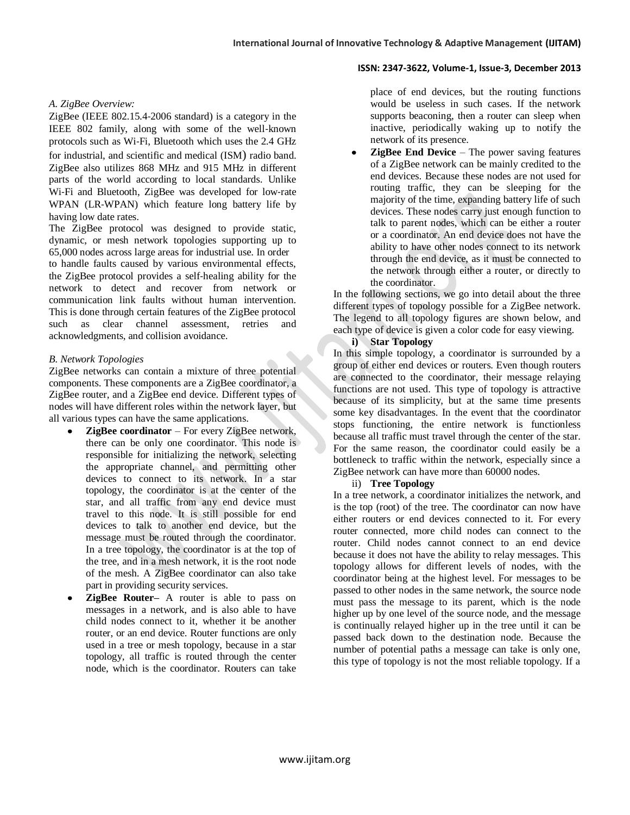#### *A. ZigBee Overview:*

ZigBee (IEEE 802.15.4‐2006 standard) is a category in the IEEE 802 family, along with some of the well‐known protocols such as Wi‐Fi, Bluetooth which uses the 2.4 GHz for industrial, and scientific and medical (ISM) radio band. ZigBee also utilizes 868 MHz and 915 MHz in different parts of the world according to local standards. Unlike Wi-Fi and Bluetooth, ZigBee was developed for low-rate WPAN (LR‐WPAN) which feature long battery life by having low date rates.

The ZigBee protocol was designed to provide static, dynamic, or mesh network topologies supporting up to 65,000 nodes across large areas for industrial use. In order to handle faults caused by various environmental effects, the ZigBee protocol provides a self‐healing ability for the network to detect and recover from network or communication link faults without human intervention. This is done through certain features of the ZigBee protocol such as clear channel assessment, retries and acknowledgments, and collision avoidance.

#### *B. Network Topologies*

ZigBee networks can contain a mixture of three potential components. These components are a ZigBee coordinator, a ZigBee router, and a ZigBee end device. Different types of nodes will have different roles within the network layer, but all various types can have the same applications.

- **ZigBee coordinator** For every ZigBee network, there can be only one coordinator. This node is responsible for initializing the network, selecting the appropriate channel, and permitting other devices to connect to its network. In a star topology, the coordinator is at the center of the star, and all traffic from any end device must travel to this node. It is still possible for end devices to talk to another end device, but the message must be routed through the coordinator. In a tree topology, the coordinator is at the top of the tree, and in a mesh network, it is the root node of the mesh. A ZigBee coordinator can also take part in providing security services.
- **ZigBee Router–** A router is able to pass on messages in a network, and is also able to have child nodes connect to it, whether it be another router, or an end device. Router functions are only used in a tree or mesh topology, because in a star topology, all traffic is routed through the center node, which is the coordinator. Routers can take

place of end devices, but the routing functions would be useless in such cases. If the network supports beaconing, then a router can sleep when inactive, periodically waking up to notify the network of its presence.

**ZigBee End Device** – The power saving features of a ZigBee network can be mainly credited to the end devices. Because these nodes are not used for routing traffic, they can be sleeping for the majority of the time, expanding battery life of such devices. These nodes carry just enough function to talk to parent nodes, which can be either a router or a coordinator. An end device does not have the ability to have other nodes connect to its network through the end device, as it must be connected to the network through either a router, or directly to the coordinator.

In the following sections, we go into detail about the three different types of topology possible for a ZigBee network. The legend to all topology figures are shown below, and each type of device is given a color code for easy viewing.

#### **i) Star Topology**

In this simple topology, a coordinator is surrounded by a group of either end devices or routers. Even though routers are connected to the coordinator, their message relaying functions are not used. This type of topology is attractive because of its simplicity, but at the same time presents some key disadvantages. In the event that the coordinator stops functioning, the entire network is functionless because all traffic must travel through the center of the star. For the same reason, the coordinator could easily be a bottleneck to traffic within the network, especially since a ZigBee network can have more than 60000 nodes.

#### ii) **Tree Topology**

In a tree network, a coordinator initializes the network, and is the top (root) of the tree. The coordinator can now have either routers or end devices connected to it. For every router connected, more child nodes can connect to the router. Child nodes cannot connect to an end device because it does not have the ability to relay messages. This topology allows for different levels of nodes, with the coordinator being at the highest level. For messages to be passed to other nodes in the same network, the source node must pass the message to its parent, which is the node higher up by one level of the source node, and the message is continually relayed higher up in the tree until it can be passed back down to the destination node. Because the number of potential paths a message can take is only one, this type of topology is not the most reliable topology. If a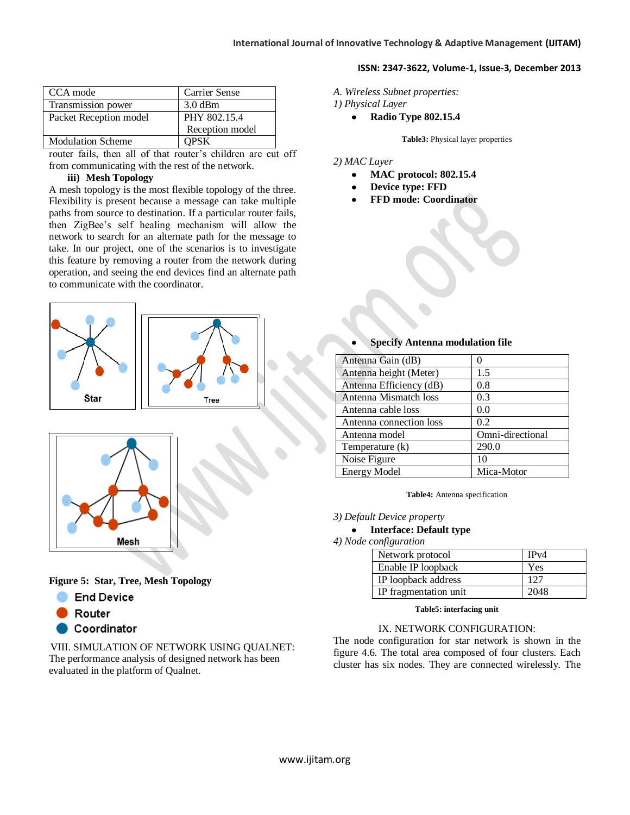| CCA mode                 | Carrier Sense   |
|--------------------------|-----------------|
| Transmission power       | $3.0$ dBm       |
| Packet Reception model   | PHY 802.15.4    |
|                          | Reception model |
| <b>Modulation Scheme</b> | <b>OPSK</b>     |

router fails, then all of that router's children are cut off from communicating with the rest of the network.

#### **iii) Mesh Topology**

A mesh topology is the most flexible topology of the three. Flexibility is present because a message can take multiple paths from source to destination. If a particular router fails, then ZigBee's self healing mechanism will allow the network to search for an alternate path for the message to take. In our project, one of the scenarios is to investigate this feature by removing a router from the network during operation, and seeing the end devices find an alternate path to communicate with the coordinator.





**Figure 5: Star, Tree, Mesh Topology**

- **End Device**
- Router
- Coordinator

VIII. SIMULATION OF NETWORK USING QUALNET: The performance analysis of designed network has been evaluated in the platform of Qualnet.

- *A. Wireless Subnet properties:*
- *1) Physical Layer*
	- **Radio Type 802.15.4**

**Table3:** Physical layer properties

**ISSN: 2347-3622, Volume-1, Issue-3, December 2013**

#### *2) MAC Layer*

- **MAC protocol: 802.15.4**  $\bullet$
- **Device type: FFD**
- **FFD mode: Coordinator**

#### Antenna Gain (dB) 0 Antenna height (Meter) 1.5 Antenna Efficiency (dB) | 0.8 Antenna Mismatch loss | 0.3 Antenna cable loss  $\vert$  0.0 Antenna connection loss  $\vert$  0.2 Antenna model Omni-directional Temperature (k) 290.0 Noise Figure 10 Energy Model Mica-Motor

**Specify Antenna modulation file**

**Table4:** Antenna specification

*3) Default Device property*

#### **Interface: Default type**

*4) Node configuration*

| Network protocol      | IPv4 |
|-----------------------|------|
| Enable IP loopback    | Yes  |
| IP loopback address   |      |
| IP fragmentation unit |      |

#### **Table5: interfacing unit**

#### IX. NETWORK CONFIGURATION:

The node configuration for star network is shown in the figure 4.6. The total area composed of four clusters. Each cluster has six nodes. They are connected wirelessly. The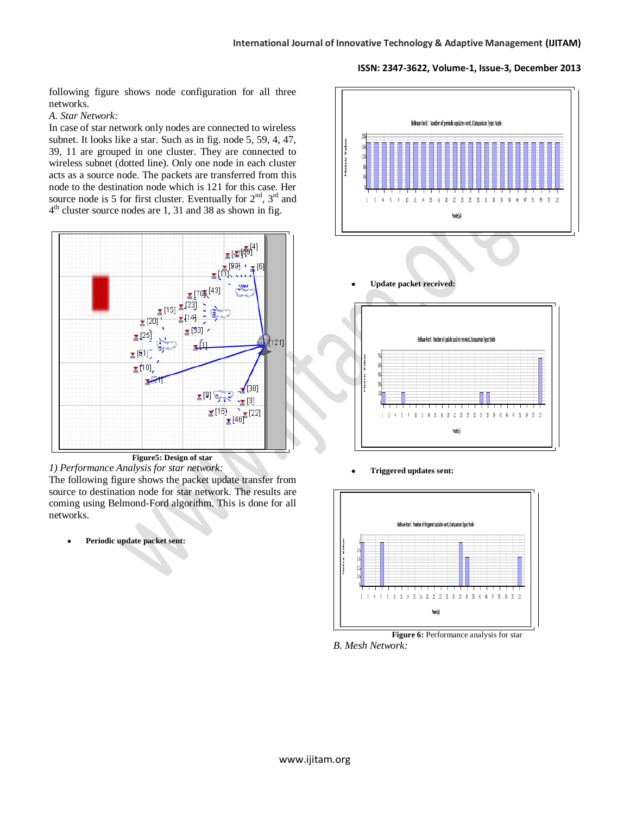following figure shows node configuration for all three networks.

#### *A. Star Network:*

In case of star network only nodes are connected to wireless subnet. It looks like a star. Such as in fig. node 5, 59, 4, 47, 39, 11 are grouped in one cluster. They are connected to wireless subnet (dotted line). Only one node in each cluster acts as a source node. The packets are transferred from this node to the destination node which is 121 for this case. Her source node is 5 for first cluster. Eventually for  $2<sup>nd</sup>$ ,  $3<sup>rd</sup>$  and 4<sup>th</sup> cluster source nodes are 1, 31 and 38 as shown in fig.





The following figure shows the packet update transfer from source to destination node for star network. The results are coming using Belmond-Ford algorithm. This is done for all networks.

**Periodic update packet sent:**



**Update packet received:**



**Triggered updates sent:**



*B. Mesh Network:*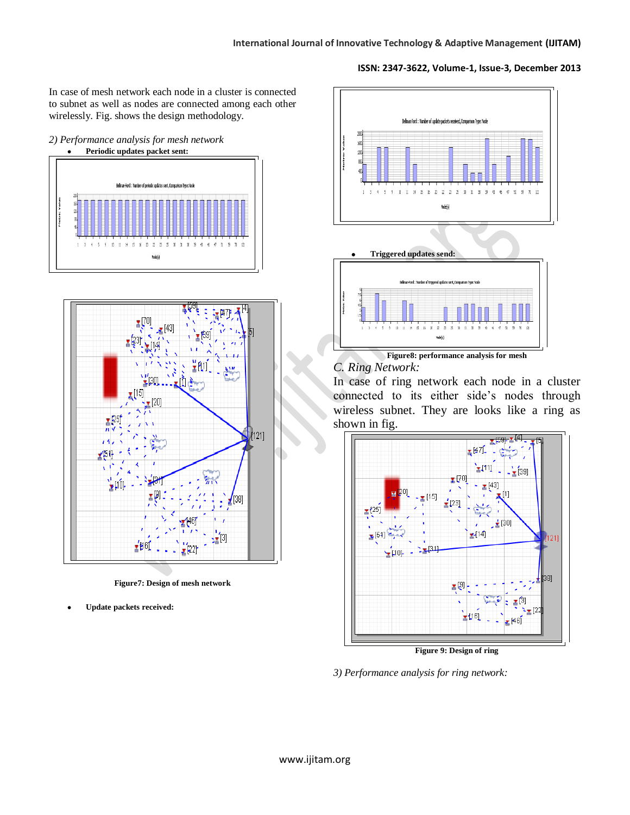In case of mesh network each node in a cluster is connected to subnet as well as nodes are connected among each other wirelessly. Fig. shows the design methodology.







**Figure7: Design of mesh network**

**Update packets received:**



#### *C. Ring Network:*

In case of ring network each node in a cluster connected to its either side's nodes through wireless subnet. They are looks like a ring as shown in fig.



**Figure 9: Design of ring**

*3) Performance analysis for ring network:*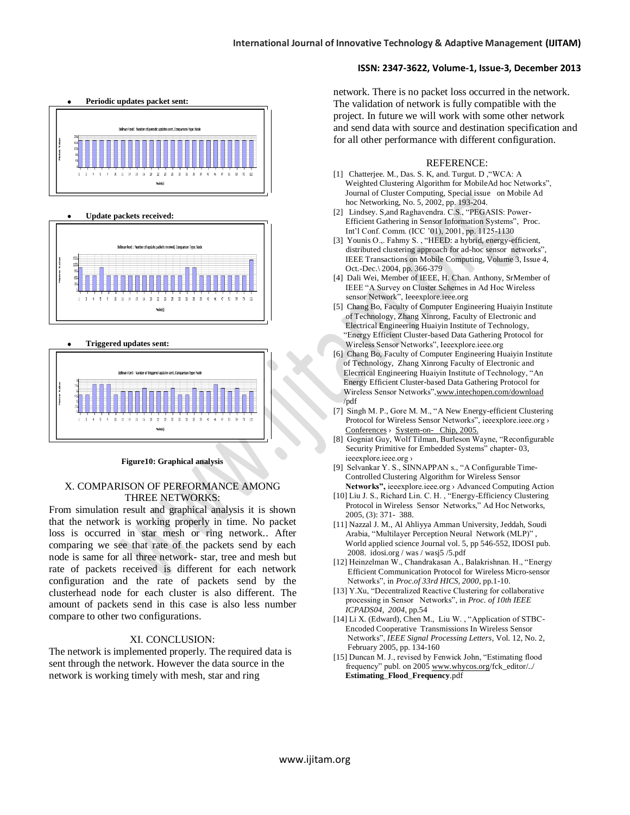

## **Update packets received:**



#### **Triggered updates sent:**



#### **Figure10: Graphical analysis**

#### X. COMPARISON OF PERFORMANCE AMONG THREE NETWORKS:

From simulation result and graphical analysis it is shown that the network is working properly in time. No packet loss is occurred in star mesh or ring network.. After comparing we see that rate of the packets send by each node is same for all three network- star, tree and mesh but rate of packets received is different for each network configuration and the rate of packets send by the clusterhead node for each cluster is also different. The amount of packets send in this case is also less number compare to other two configurations.

#### XI. CONCLUSION:

The network is implemented properly. The required data is sent through the network. However the data source in the network is working timely with mesh, star and ring

network. There is no packet loss occurred in the network. The validation of network is fully compatible with the project. In future we will work with some other network and send data with source and destination specification and for all other performance with different configuration.

#### REFERENCE:

- [1] Chatterjee. M., Das. S. K, and. Turgut. D, "WCA: A Weighted Clustering Algorithm for MobileAd hoc Networks", Journal of Cluster Computing, Special issue on Mobile Ad hoc Networking, No. 5, 2002, pp. 193-204.
- [2] Lindsey. S,and Raghavendra. C.S., "PEGASIS: Power- Efficient Gathering in Sensor Information Systems", Proc. Int'l Conf. Comm. (ICC '01), 2001, pp. 1125-1130
- [3] Younis O.,. Fahmy S. , "HEED: a hybrid, energy-efficient, distributed clustering approach for ad-hoc sensor networks", IEEE Transactions on Mobile Computing, Volume 3, Issue 4, Oct.-Dec.\ 2004, pp. 366-379
- [4] Dali Wei, Member of IEEE, H. Chan. Anthony, SrMember of IEEE "A Survey on Cluster Schemes in Ad Hoc Wireless sensor Network", Ieeexplore.ieee.org
- [5] Chang Bo, Faculty of Computer Engineering Huaiyin Institute of Technology, Zhang Xinrong, Faculty of Electronic and Electrical Engineering Huaiyin Institute of Technology, "Energy Efficient Cluster-based Data Gathering Protocol for Wireless Sensor Networks", Ieeexplore.ieee.org
- [6] Chang Bo, Faculty of Computer Engineering Huaiyin Institute of Technology, Zhang Xinrong Faculty of Electronic and Elecrrical Engineering Huaiyin Institute of Technology, "An Energy Efficient Cluster-based Data Gathering Protocol for Wireless Sensor Networks[",www.intechopen.com/download](http://www.intechopen.com/download)  /pdf
- [7] Singh M. P., Gore M. M., "A New Energy-efficient Clustering Protocol for Wireless Sensor Networks", ieeexplore.ieee.org › [Conferences](http://www.google.co.in/url?url=http://ieeexplore.ieee.org/xpl/conferences.jsp&rct=j&sa=X&ei=KZHQToTAM4PrrQf9xtHEDA&sqi=2&ved=0CCQQ6QUoADAA&q=reconfigurable+security+primitive+for+embedded+systems&usg=AFQjCNE6k_hayk5zT3ca5RO9a6HNVfX8nA) › [System-on- Chip, 2005.](http://www.google.co.in/url?url=http://ieeexplore.ieee.org/xpl/mostRecentIssue.jsp%3Fpunumber%3D10634&rct=j&sa=X&ei=KZHQToTAM4PrrQf9xtHEDA&sqi=2&ved=0CCUQ6QUoATAA&q=reconfigurable+security+primitive+for+embedded+systems&usg=AFQjCNGJQ0yF9ovgDmx8HoJtlX5EYeL2pA)
- [8] Gogniat Guy, Wolf Tilman, Burleson Wayne, "Reconfigurable Security Primitive for Embedded Systems" chapter- 03, ieeexplore.ieee.org ›
- [9] Selvankar Y. S., SINNAPPAN s., "A Configurable Time- Controlled Clustering Algorithm for Wireless Sensor **Networks",** ieeexplore.ieee.org › Advanced Computing Action
- [10] Liu J. S., Richard Lin. C. H. , "Energy-Efficiency Clustering Protocol in Wireless Sensor Networks," Ad Hoc Networks, 2005, (3): 371- 388.
- [11] Nazzal J. M., Al Ahliyya Amman University, Jeddah, Soudi Arabia, "Multilayer Perception Neural Network (MLP)" , World applied science Journal vol. 5, pp 546-552, IDOSI pub. 2008. idosi.org / was / wasj5 /5.pdf
- [12] Heinzelman W., Chandrakasan A., Balakrishnan. H., "Energy Efficient Communication Protocol for Wireless Micro-sensor Networks", in *Proc.of 33rd HICS, 2000*, pp.1-10.
- [13] Y.Xu, "Decentralized Reactive Clustering for collaborative processing in Sensor Networks", in *Proc. of 10th IEEE ICPADS04, 2004*, pp.54
- [14] Li X. (Edward)*,* Chen M., Liu W. , "Application of STBC- Encoded Cooperative Transmissions In Wireless Sensor Networks", *IEEE Signal Processing Letters*, Vol. 12, No. 2, February 2005, pp. 134-160
- [15] Duncan M. J., revised by Fenwick John, "Estimating flood frequency" publ. on 2005 [www.whycos.org/](http://www.whycos.org/)fck\_editor/../ **Estimating**\_**Flood**\_**Frequency**.pdf